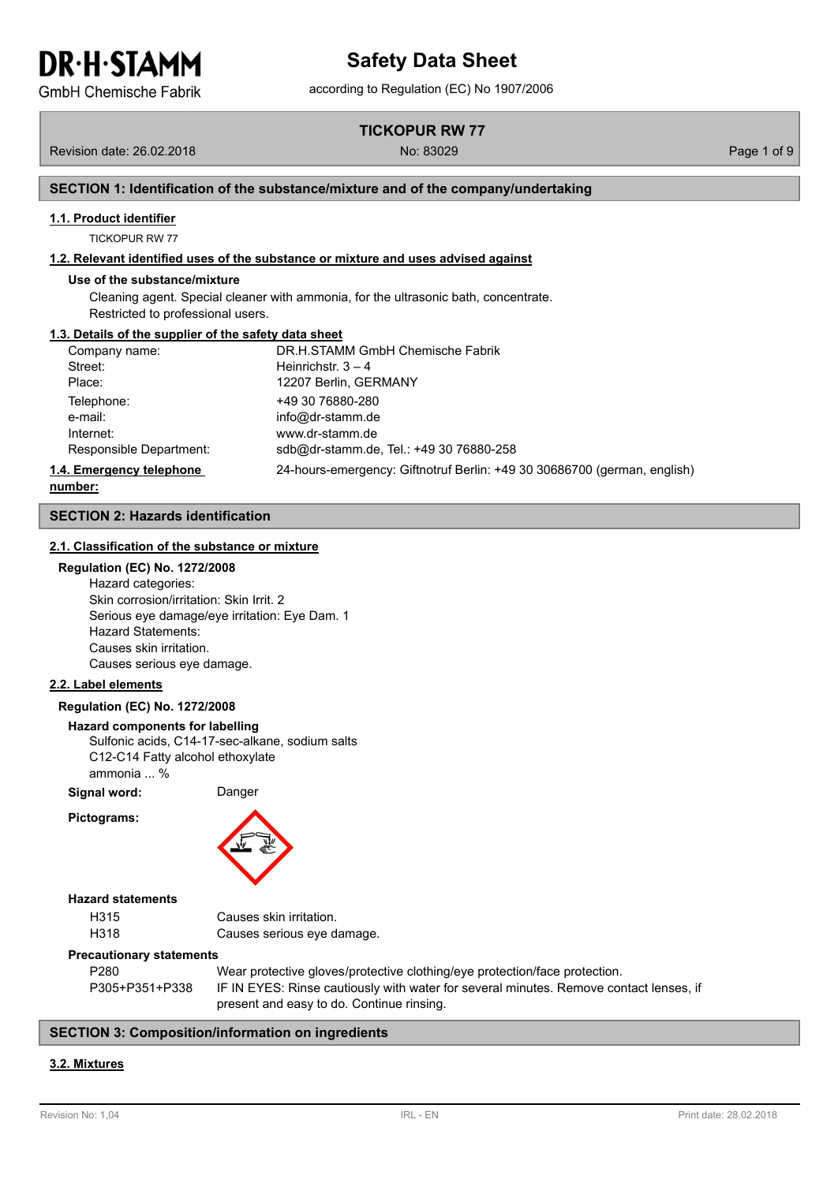**GmbH Chemische Fabrik** 

**TICKOPUR RW 77**

Revision date: 26.02.2018 No: 83029 Page 1 of 9

## **SECTION 1: Identification of the substance/mixture and of the company/undertaking**

#### **1.1. Product identifier**

TICKOPUR RW 77

#### **1.2. Relevant identified uses of the substance or mixture and uses advised against**

#### **Use of the substance/mixture**

Cleaning agent. Special cleaner with ammonia, for the ultrasonic bath, concentrate. Restricted to professional users.

#### **1.3. Details of the supplier of the safety data sheet**

| Company name:            | DR.H.STAMM GmbH Chemische Fabrik                                         |
|--------------------------|--------------------------------------------------------------------------|
| Street:                  | Heinrichstr. $3 - 4$                                                     |
| Place:                   | 12207 Berlin, GERMANY                                                    |
| Telephone:               | +49 30 76880-280                                                         |
| e-mail:                  | info@dr-stamm.de                                                         |
| Internet:                | www.dr-stamm.de                                                          |
| Responsible Department:  | sdb@dr-stamm.de, Tel.: +49 30 76880-258                                  |
| 1.4. Emergency telephone | 24-hours-emergency: Giftnotruf Berlin: +49 30 30686700 (german, english) |

**number:**

#### **SECTION 2: Hazards identification**

#### **2.1. Classification of the substance or mixture**

#### **Regulation (EC) No. 1272/2008**

Hazard categories: Skin corrosion/irritation: Skin Irrit. 2 Serious eye damage/eye irritation: Eye Dam. 1 Hazard Statements: Causes skin irritation. Causes serious eye damage.

#### **2.2. Label elements**

#### **Regulation (EC) No. 1272/2008**

#### **Hazard components for labelling**

Sulfonic acids, C14-17-sec-alkane, sodium salts C12-C14 Fatty alcohol ethoxylate ammonia ... %

**Signal word:** Danger

**Pictograms:**



#### **Hazard statements**

| H315 | Causes skin irritation.    |
|------|----------------------------|
| H318 | Causes serious eye damage. |

#### **Precautionary statements**

| P280           | Wear protective gloves/protective clothing/eye protection/face protection.             |
|----------------|----------------------------------------------------------------------------------------|
| P305+P351+P338 | IF IN EYES: Rinse cautiously with water for several minutes. Remove contact lenses, if |
|                | present and easy to do. Continue rinsing.                                              |

#### **SECTION 3: Composition/information on ingredients**

#### **3.2. Mixtures**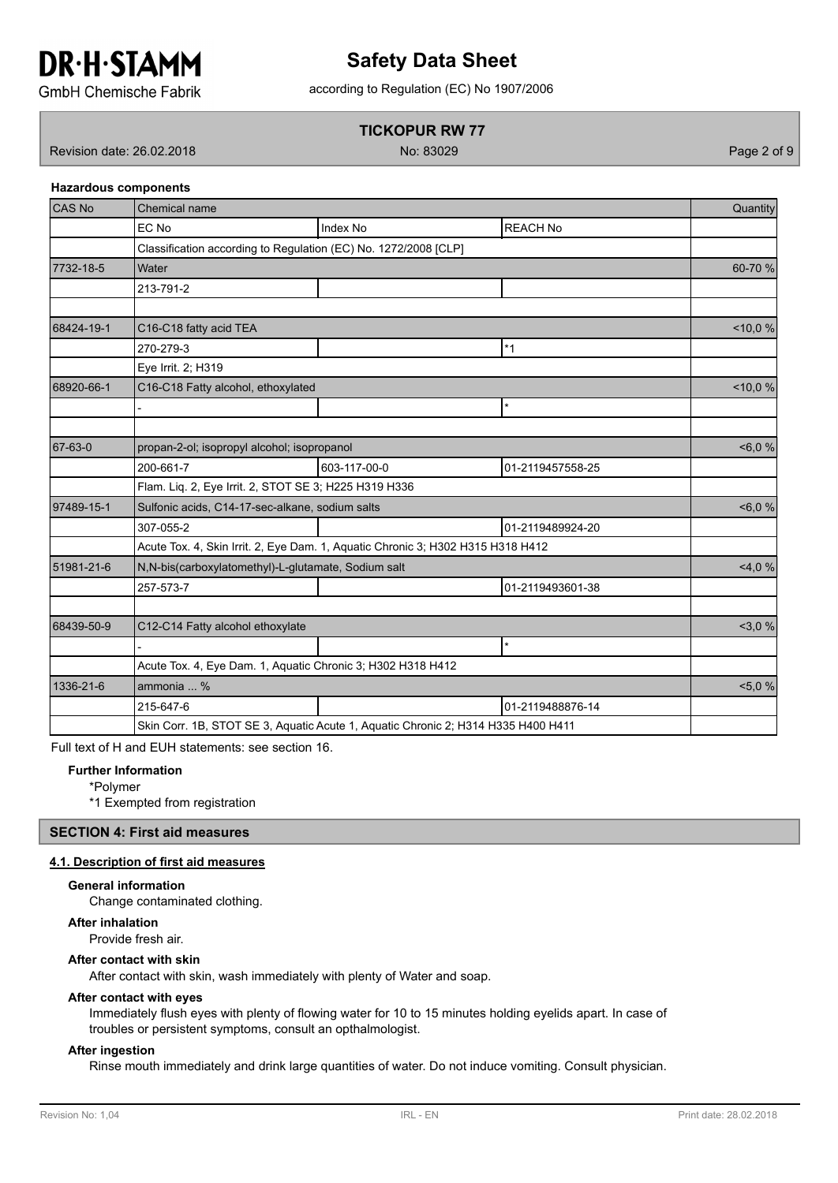

# according to Regulation (EC) No 1907/2006 **Safety Data Sheet**

**GmbH Chemische Fabrik** 

# **TICKOPUR RW 77**

Revision date: 26.02.2018 No: 83029 Page 2 of 9

**Hazardous components**

# CAS No Chemical name Quantity EC No Index No Index No Index No Index No Index No Index No Index No Index No Index No Index No Index No Index No Classification according to Regulation (EC) No. 1272/2008 [CLP] 7732-18-5 Water 60-70 % 213-791-2 68424-19-1 C16-C18 fatty acid TEA <10,0 % 270-279-3 **\*1** Eye Irrit. 2; H319 68920-66-1 C16-C18 Fatty alcohol, ethoxylated  $\sim$  10,0 % - \* 67-63-0 propan-2-ol; isopropyl alcohol; isopropanol example of the state of the state of the state of the state of the state of the state of the state of the state of the state of the state of the state of the state of the 200-661-7 603-117-00-0 01-2119457558-25 Flam. Liq. 2, Eye Irrit. 2, STOT SE 3; H225 H319 H336 97489-15-1 Sulfonic acids, C14-17-sec-alkane, sodium salts example and the second second second second second second second second second second second second second second second second second second second second second 307-055-2 01-2119489924-20 Acute Tox. 4, Skin Irrit. 2, Eye Dam. 1, Aquatic Chronic 3; H302 H315 H318 H412 51981-21-6 | N,N-bis(carboxylatomethyl)-L-glutamate, Sodium salt <4,0 % 257-573-7 01-2119493601-38 68439-50-9 C12-C14 Fatty alcohol ethoxylate compared to the compared of the compared of the compared of the compared of the compared of the compared of the compared of the compared of the compared of the compared of the co - \* Acute Tox. 4, Eye Dam. 1, Aquatic Chronic 3; H302 H318 H412 1336-21-6 ammonia ... % <5,0 % 215-647-6 01-2119488876-14 Skin Corr. 1B, STOT SE 3, Aquatic Acute 1, Aquatic Chronic 2; H314 H335 H400 H411

Full text of H and EUH statements: see section 16.

## **Further Information**

\*Polymer

\*1 Exempted from registration

# **SECTION 4: First aid measures**

#### **4.1. Description of first aid measures**

### **General information**

Change contaminated clothing.

#### **After inhalation**

Provide fresh air.

#### **After contact with skin**

After contact with skin, wash immediately with plenty of Water and soap.

#### **After contact with eyes**

Immediately flush eyes with plenty of flowing water for 10 to 15 minutes holding eyelids apart. In case of troubles or persistent symptoms, consult an opthalmologist.

#### **After ingestion**

Rinse mouth immediately and drink large quantities of water. Do not induce vomiting. Consult physician.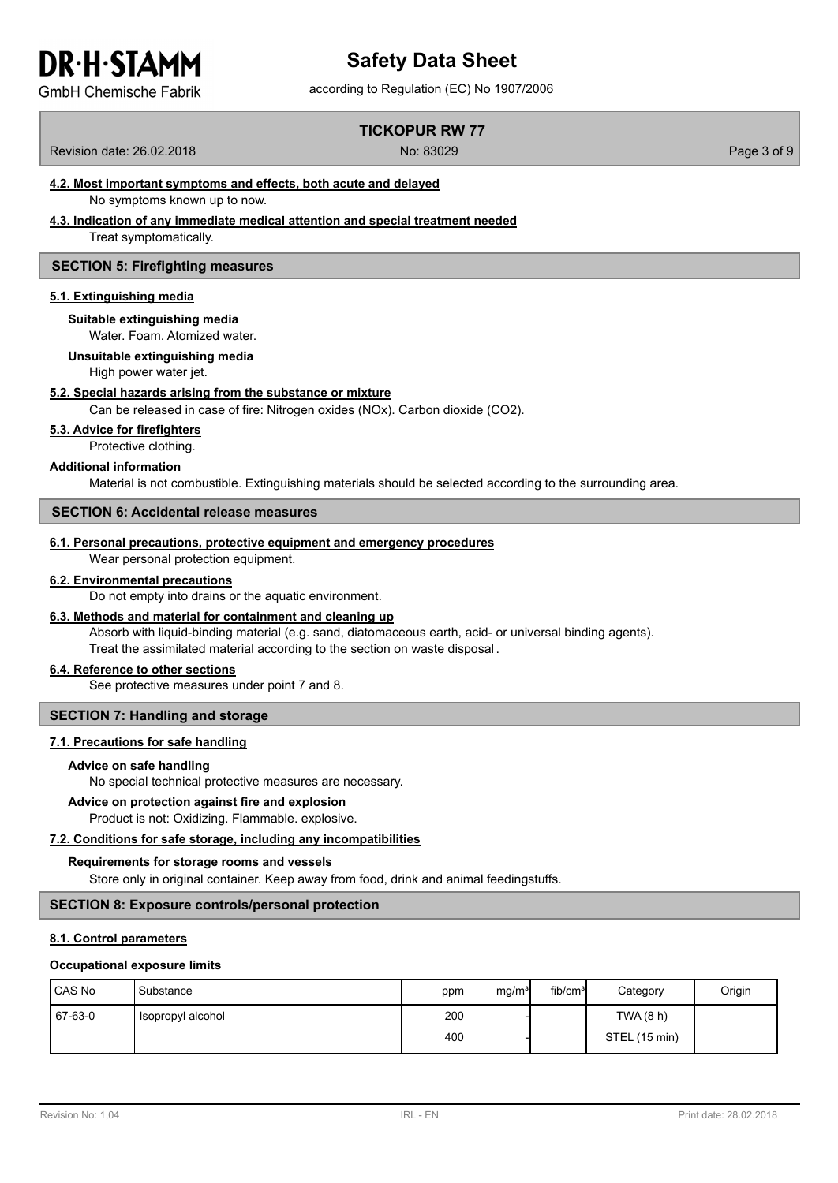# according to Regulation (EC) No 1907/2006 **Safety Data Sheet**

**GmbH Chemische Fabrik** 

# **TICKOPUR RW 77**

Revision date: 26.02.2018 No: 83029 Page 3 of 9

# **4.2. Most important symptoms and effects, both acute and delayed**

No symptoms known up to now.

#### **4.3. Indication of any immediate medical attention and special treatment needed**

Treat symptomatically.

#### **SECTION 5: Firefighting measures**

#### **5.1. Extinguishing media**

**Suitable extinguishing media**

Water. Foam. Atomized water.

## **Unsuitable extinguishing media**

High power water jet.

#### **5.2. Special hazards arising from the substance or mixture**

Can be released in case of fire: Nitrogen oxides (NOx). Carbon dioxide (CO2).

#### **5.3. Advice for firefighters**

Protective clothing.

#### **Additional information**

Material is not combustible. Extinguishing materials should be selected according to the surrounding area.

#### **SECTION 6: Accidental release measures**

#### **6.1. Personal precautions, protective equipment and emergency procedures**

Wear personal protection equipment.

#### **6.2. Environmental precautions**

Do not empty into drains or the aquatic environment.

#### **6.3. Methods and material for containment and cleaning up**

Absorb with liquid-binding material (e.g. sand, diatomaceous earth, acid- or universal binding agents). Treat the assimilated material according to the section on waste disposal .

#### **6.4. Reference to other sections**

See protective measures under point 7 and 8.

#### **SECTION 7: Handling and storage**

#### **7.1. Precautions for safe handling**

#### **Advice on safe handling**

No special technical protective measures are necessary.

#### **Advice on protection against fire and explosion**

Product is not: Oxidizing. Flammable. explosive.

## **7.2. Conditions for safe storage, including any incompatibilities**

#### **Requirements for storage rooms and vessels**

Store only in original container. Keep away from food, drink and animal feedingstuffs.

# **SECTION 8: Exposure controls/personal protection**

## **8.1. Control parameters**

#### **Occupational exposure limits**

| CAS No  | <b>I</b> Substance | ppm  | mg/m <sup>3</sup> | fib/cm <sup>3</sup> | Category      | Origin |
|---------|--------------------|------|-------------------|---------------------|---------------|--------|
| 67-63-0 | Isopropyl alcohol  | 200  |                   |                     | TWA (8 h)     |        |
|         |                    | 400l |                   |                     | STEL (15 min) |        |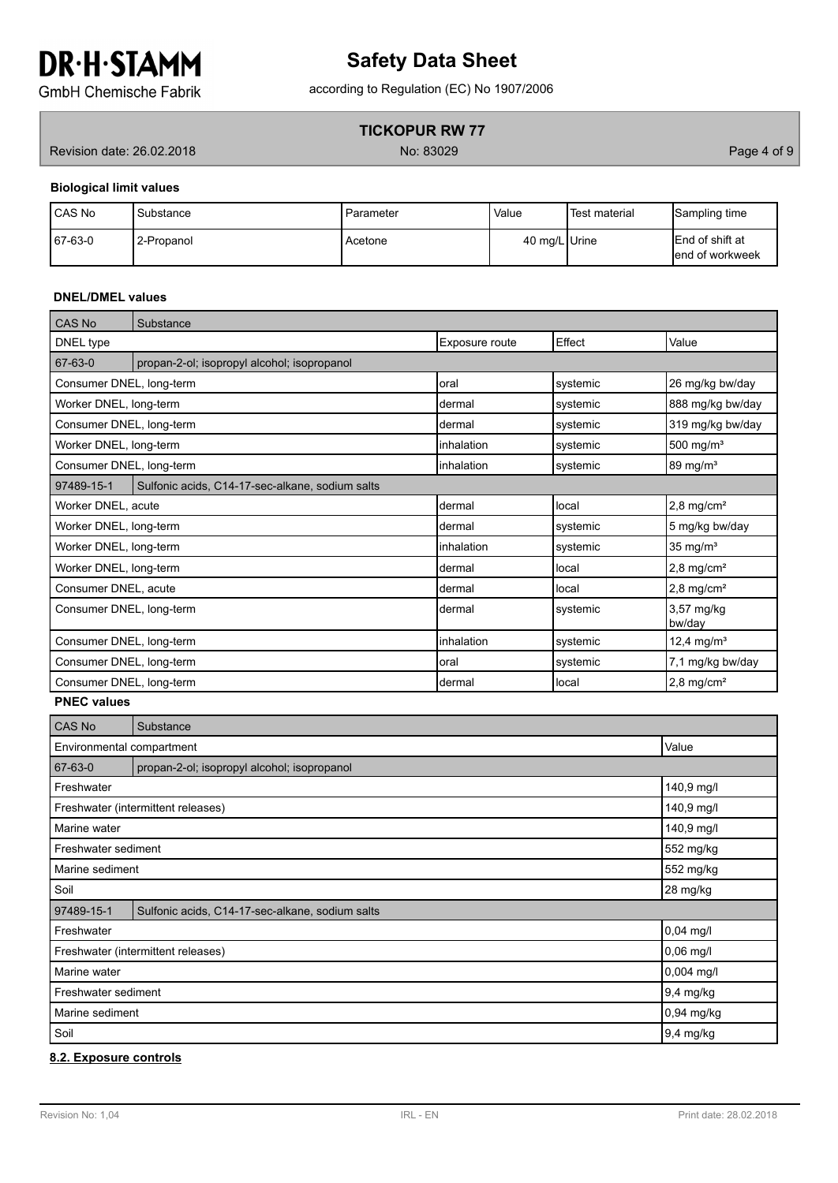# according to Regulation (EC) No 1907/2006 **Safety Data Sheet**

**GmbH Chemische Fabrik** 

# **TICKOPUR RW 77**

Revision date: 26.02.2018 **Page 4 of 9** No: 83029 **No: 83029** Page 4 of 9

## **Biological limit values**

| <b>CAS No</b> | Substance  | l Parameter | Value         | Test material | Sampling time                               |
|---------------|------------|-------------|---------------|---------------|---------------------------------------------|
| $167-63-0$    | 2-Propanol | Acetone     | 40 mg/L Urine |               | <b>IEnd of shift at</b><br>lend of workweek |

### **DNEL/DMEL values**

| CAS No                   | Substance                                       |                |          |                          |
|--------------------------|-------------------------------------------------|----------------|----------|--------------------------|
| DNEL type                |                                                 | Exposure route | Effect   | Value                    |
| 67-63-0                  | propan-2-ol; isopropyl alcohol; isopropanol     |                |          |                          |
| Consumer DNEL, long-term |                                                 | Ioral          | systemic | 26 mg/kg bw/day          |
| Worker DNEL, long-term   |                                                 | Idermal        | systemic | 888 mg/kg bw/day         |
| Consumer DNEL, long-term |                                                 | Idermal        | systemic | 319 mg/kg bw/day         |
| Worker DNEL, long-term   |                                                 | linhalation    | systemic | 500 mg/ $m3$             |
| Consumer DNEL, long-term |                                                 | inhalation     | svstemic | $89 \text{ mg/m}^3$      |
| 97489-15-1               | Sulfonic acids, C14-17-sec-alkane, sodium salts |                |          |                          |
| Worker DNEL, acute       |                                                 | dermal         | local    | $2.8 \text{ mg/cm}^2$    |
| Worker DNEL, long-term   |                                                 | Idermal        | systemic | 5 mg/kg bw/day           |
| Worker DNEL, long-term   |                                                 | linhalation    | systemic | 35 mg/ $m3$              |
| Worker DNEL, long-term   |                                                 | Idermal        | local    | $2,8 \text{ mg/cm}^2$    |
| Consumer DNEL, acute     |                                                 | Idermal        | local    | $2,8 \text{ mg/cm}^2$    |
| Consumer DNEL, long-term |                                                 | Idermal        | systemic | 3,57 mg/kg<br>bw/day     |
| Consumer DNEL, long-term |                                                 | linhalation    | systemic | 12,4 mg/m <sup>3</sup>   |
| Consumer DNEL, long-term |                                                 | Ioral          | systemic | 7,1 mg/kg bw/day         |
| Consumer DNEL, long-term |                                                 | Idermal        | llocal   | $2,8$ mg/cm <sup>2</sup> |

## **PNEC values**

| <b>CAS No</b>                | Substance                                       |              |  |
|------------------------------|-------------------------------------------------|--------------|--|
| Environmental compartment    | Value                                           |              |  |
| 67-63-0                      | propan-2-ol; isopropyl alcohol; isopropanol     |              |  |
| Freshwater                   |                                                 | 140,9 mg/l   |  |
|                              | Freshwater (intermittent releases)              | 140,9 mg/l   |  |
| Marine water                 |                                                 | 140,9 mg/l   |  |
| Freshwater sediment          |                                                 | 552 mg/kg    |  |
| 552 mg/kg<br>Marine sediment |                                                 |              |  |
| Soil                         |                                                 | 28 mg/kg     |  |
| 97489-15-1                   | Sulfonic acids, C14-17-sec-alkane, sodium salts |              |  |
| Freshwater                   |                                                 | $0,04$ mg/l  |  |
|                              | Freshwater (intermittent releases)              | $0,06$ mg/l  |  |
| Marine water                 |                                                 | $0,004$ mg/l |  |
| Freshwater sediment          |                                                 | 9,4 mg/kg    |  |
| Marine sediment              |                                                 | $0,94$ mg/kg |  |
| Soil                         |                                                 | 9,4 mg/kg    |  |

#### **8.2. Exposure controls**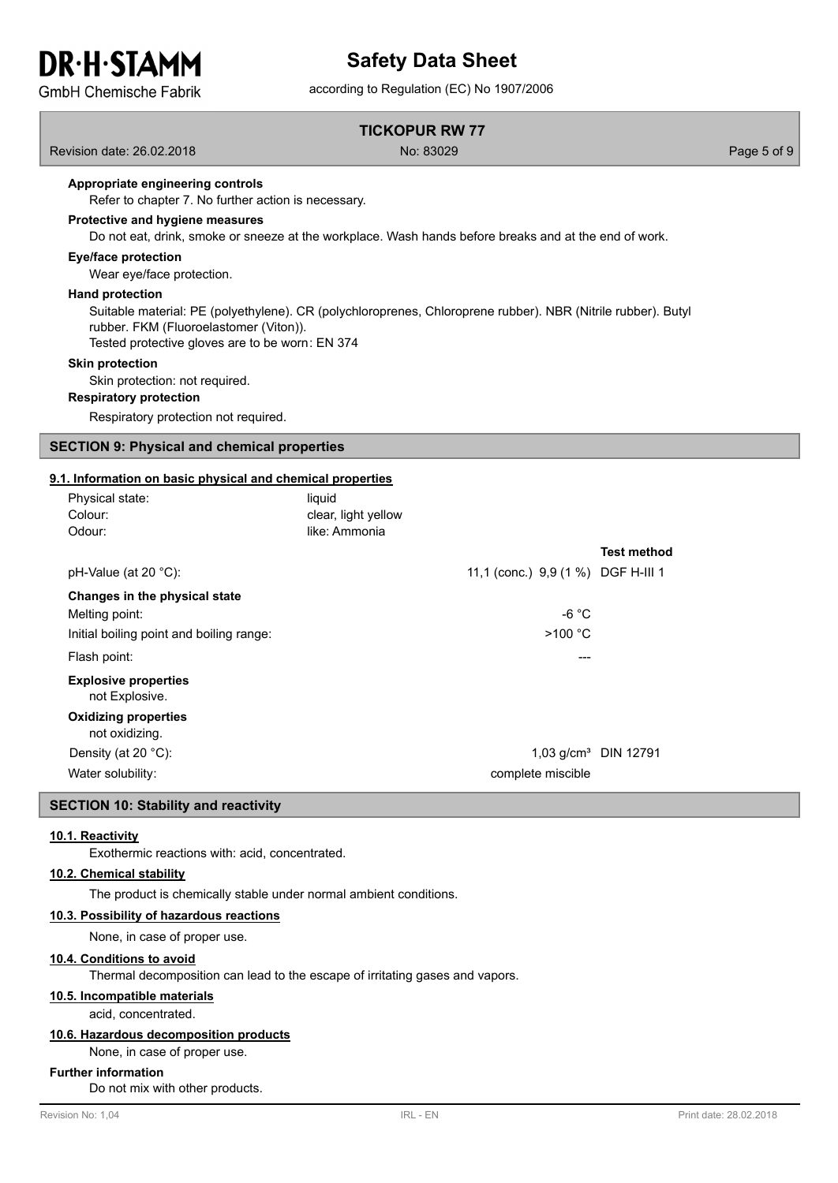# **DR.H.STAMM GmbH Chemische Fabrik**

# **Safety Data Sheet**

according to Regulation (EC) No 1907/2006

### **TICKOPUR RW 77**

Revision date: 26.02.2018 No: 83029 Page 5 of 9

#### **Appropriate engineering controls**

Refer to chapter 7. No further action is necessary.

#### **Protective and hygiene measures**

Do not eat, drink, smoke or sneeze at the workplace. Wash hands before breaks and at the end of work.

#### **Eye/face protection**

Wear eye/face protection.

#### **Hand protection**

Suitable material: PE (polyethylene). CR (polychloroprenes, Chloroprene rubber). NBR (Nitrile rubber). Butyl rubber. FKM (Fluoroelastomer (Viton)).

Tested protective gloves are to be worn: EN 374

#### **Skin protection**

Skin protection: not required.

#### **Respiratory protection**

Respiratory protection not required.

### **SECTION 9: Physical and chemical properties**

#### **9.1. Information on basic physical and chemical properties**

| Physical state:<br>Colour:<br>Odour:          | liquid<br>clear, light yellow<br>like: Ammonia |                         |
|-----------------------------------------------|------------------------------------------------|-------------------------|
|                                               |                                                | <b>Test method</b>      |
| pH-Value (at 20 °C):                          | 11,1 (conc.) 9,9 (1 %) DGF H-III 1             |                         |
| Changes in the physical state                 |                                                |                         |
| Melting point:                                | -6 °C                                          |                         |
| Initial boiling point and boiling range:      | >100 °C                                        |                         |
| Flash point:                                  |                                                | ---                     |
| <b>Explosive properties</b><br>not Explosive. |                                                |                         |
| <b>Oxidizing properties</b><br>not oxidizing. |                                                |                         |
| Density (at 20 $^{\circ}$ C):                 |                                                | 1,03 $q/cm^3$ DIN 12791 |
| Water solubility:                             | complete miscible                              |                         |

#### **SECTION 10: Stability and reactivity**

#### **10.1. Reactivity**

Exothermic reactions with: acid, concentrated.

#### **10.2. Chemical stability**

The product is chemically stable under normal ambient conditions.

#### **10.3. Possibility of hazardous reactions**

None, in case of proper use.

### **10.4. Conditions to avoid**

Thermal decomposition can lead to the escape of irritating gases and vapors.

## **10.5. Incompatible materials**

acid, concentrated.

#### **10.6. Hazardous decomposition products**

None, in case of proper use.

#### **Further information**

Do not mix with other products.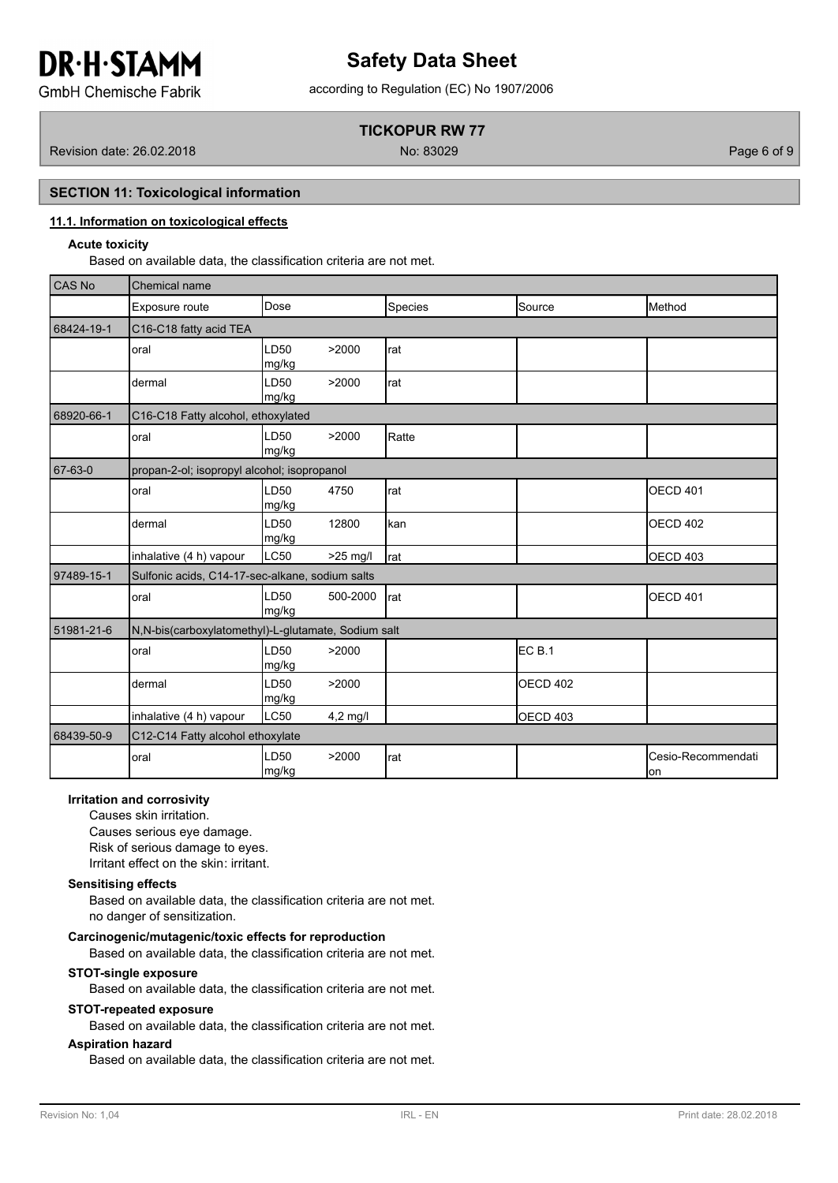# **Safety Data Sheet**

according to Regulation (EC) No 1907/2006

**GmbH Chemische Fabrik** 

# **TICKOPUR RW 77**

Revision date: 26.02.2018 No: 83029 Page 6 of 9

# **SECTION 11: Toxicological information**

## **11.1. Information on toxicological effects**

#### **Acute toxicity**

Based on available data, the classification criteria are not met.

| <b>CAS No</b> | Chemical name                                       |               |            |         |                   |                                    |  |  |  |
|---------------|-----------------------------------------------------|---------------|------------|---------|-------------------|------------------------------------|--|--|--|
|               | Exposure route                                      | Dose          |            | Species | Source            | Method                             |  |  |  |
| 68424-19-1    | C16-C18 fatty acid TEA                              |               |            |         |                   |                                    |  |  |  |
|               | oral                                                | LD50<br>mg/kg | >2000      | rat     |                   |                                    |  |  |  |
|               | dermal                                              | LD50<br>mg/kg | >2000      | rat     |                   |                                    |  |  |  |
| 68920-66-1    | C16-C18 Fatty alcohol, ethoxylated                  |               |            |         |                   |                                    |  |  |  |
|               | oral                                                | LD50<br>mg/kg | >2000      | Ratte   |                   |                                    |  |  |  |
| 67-63-0       | propan-2-ol; isopropyl alcohol; isopropanol         |               |            |         |                   |                                    |  |  |  |
|               | oral                                                | LD50<br>mg/kg | 4750       | rat     |                   | <b>OECD 401</b>                    |  |  |  |
|               | dermal                                              | LD50<br>mg/kg | 12800      | kan     |                   | <b>OECD 402</b>                    |  |  |  |
|               | inhalative (4 h) vapour                             | LC50          | $>25$ mg/l | rat     |                   | <b>OECD 403</b>                    |  |  |  |
| 97489-15-1    | Sulfonic acids, C14-17-sec-alkane, sodium salts     |               |            |         |                   |                                    |  |  |  |
|               | oral                                                | LD50<br>mg/kg | 500-2000   | rat     |                   | <b>OECD 401</b>                    |  |  |  |
| 51981-21-6    | N,N-bis(carboxylatomethyl)-L-glutamate, Sodium salt |               |            |         |                   |                                    |  |  |  |
|               | oral                                                | LD50<br>mg/kg | >2000      |         | EC <sub>B.1</sub> |                                    |  |  |  |
|               | dermal                                              | LD50<br>mg/kg | >2000      |         | OECD 402          |                                    |  |  |  |
|               | inhalative (4 h) vapour                             | LC50          | $4,2$ mg/l |         | OECD 403          |                                    |  |  |  |
| 68439-50-9    | C12-C14 Fatty alcohol ethoxylate                    |               |            |         |                   |                                    |  |  |  |
|               | oral                                                | LD50<br>mg/kg | >2000      | rat     |                   | <b>I</b> Cesio-Recommendati<br>lon |  |  |  |

## **Irritation and corrosivity**

Causes skin irritation. Causes serious eye damage. Risk of serious damage to eyes. Irritant effect on the skin: irritant.

#### **Sensitising effects**

Based on available data, the classification criteria are not met. no danger of sensitization.

**Carcinogenic/mutagenic/toxic effects for reproduction**

Based on available data, the classification criteria are not met.

#### **STOT-single exposure**

Based on available data, the classification criteria are not met.

#### **STOT-repeated exposure**

Based on available data, the classification criteria are not met.

#### **Aspiration hazard**

Based on available data, the classification criteria are not met.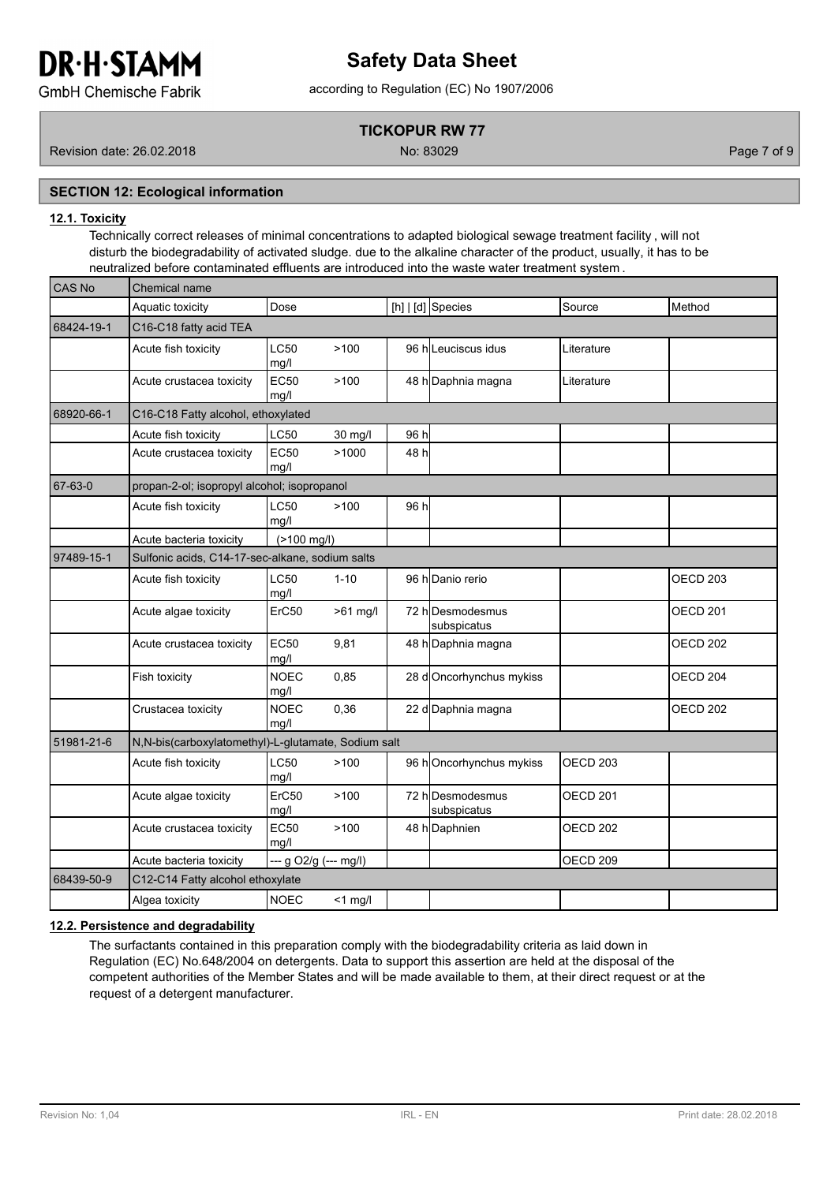# **Safety Data Sheet**

**GmbH Chemische Fabrik** 

# according to Regulation (EC) No 1907/2006

# **TICKOPUR RW 77**

Revision date: 26.02.2018 No: 83029 Page 7 of 9

# **SECTION 12: Ecological information**

## **12.1. Toxicity**

Technically correct releases of minimal concentrations to adapted biological sewage treatment facility , will not disturb the biodegradability of activated sludge. due to the alkaline character of the product, usually, it has to be neutralized before contaminated effluents are introduced into the waste water treatment system .

| CAS No     | Chemical name                                        |                       |            |      |                                 |                     |                     |  |  |
|------------|------------------------------------------------------|-----------------------|------------|------|---------------------------------|---------------------|---------------------|--|--|
|            | Aquatic toxicity                                     | Dose                  |            |      | [h] $ d]$ Species               | Source              | Method              |  |  |
| 68424-19-1 | C16-C18 fatty acid TEA                               |                       |            |      |                                 |                     |                     |  |  |
|            | Acute fish toxicity                                  | <b>LC50</b><br>mg/l   | >100       |      | 96 hlLeuciscus idus             | Literature          |                     |  |  |
|            | Acute crustacea toxicity                             | <b>EC50</b><br>mg/l   | >100       |      | 48 h Daphnia magna              | Literature          |                     |  |  |
| 68920-66-1 | C16-C18 Fatty alcohol, ethoxylated                   |                       |            |      |                                 |                     |                     |  |  |
|            | Acute fish toxicity                                  | <b>LC50</b>           | 30 mg/l    | 96 h |                                 |                     |                     |  |  |
|            | Acute crustacea toxicity                             | <b>EC50</b><br>mg/l   | >1000      | 48 h |                                 |                     |                     |  |  |
| 67-63-0    | propan-2-ol; isopropyl alcohol; isopropanol          |                       |            |      |                                 |                     |                     |  |  |
|            | Acute fish toxicity                                  | <b>LC50</b><br>mq/l   | >100       | 96 h |                                 |                     |                     |  |  |
|            | Acute bacteria toxicity                              | (>100 mg/l)           |            |      |                                 |                     |                     |  |  |
| 97489-15-1 | Sulfonic acids, C14-17-sec-alkane, sodium salts      |                       |            |      |                                 |                     |                     |  |  |
|            | Acute fish toxicity                                  | <b>LC50</b><br>mg/l   | $1 - 10$   |      | 96 h Danio rerio                |                     | OECD <sub>203</sub> |  |  |
|            | Acute algae toxicity                                 | ErC50                 | $>61$ mg/l |      | 72 hDesmodesmus<br>subspicatus  |                     | OECD 201            |  |  |
|            | Acute crustacea toxicity                             | <b>EC50</b><br>mg/l   | 9,81       |      | 48 h Daphnia magna              |                     | OECD <sub>202</sub> |  |  |
|            | Fish toxicity                                        | <b>NOEC</b><br>mg/l   | 0,85       |      | 28 dOncorhynchus mykiss         |                     | OECD <sub>204</sub> |  |  |
|            | Crustacea toxicity                                   | <b>NOEC</b><br>mg/l   | 0,36       |      | 22 d Daphnia magna              |                     | OECD <sub>202</sub> |  |  |
| 51981-21-6 | N, N-bis(carboxylatomethyl)-L-glutamate, Sodium salt |                       |            |      |                                 |                     |                     |  |  |
|            | Acute fish toxicity                                  | <b>LC50</b><br>mq/l   | >100       |      | 96 hOncorhynchus mykiss         | OECD <sub>203</sub> |                     |  |  |
|            | Acute algae toxicity                                 | ErC50<br>mg/l         | >100       |      | 72 h Desmodesmus<br>subspicatus | OECD 201            |                     |  |  |
|            | Acute crustacea toxicity                             | <b>EC50</b><br>mg/l   | >100       |      | 48 h Daphnien                   | OECD <sub>202</sub> |                     |  |  |
|            | Acute bacteria toxicity                              | --- g O2/g (--- mg/l) |            |      |                                 | OECD <sub>209</sub> |                     |  |  |
| 68439-50-9 | C12-C14 Fatty alcohol ethoxylate                     |                       |            |      |                                 |                     |                     |  |  |
|            | Algea toxicity                                       | <b>NOEC</b>           | $<$ 1 mg/l |      |                                 |                     |                     |  |  |

#### **12.2. Persistence and degradability**

The surfactants contained in this preparation comply with the biodegradability criteria as laid down in Regulation (EC) No.648/2004 on detergents. Data to support this assertion are held at the disposal of the competent authorities of the Member States and will be made available to them, at their direct request or at the request of a detergent manufacturer.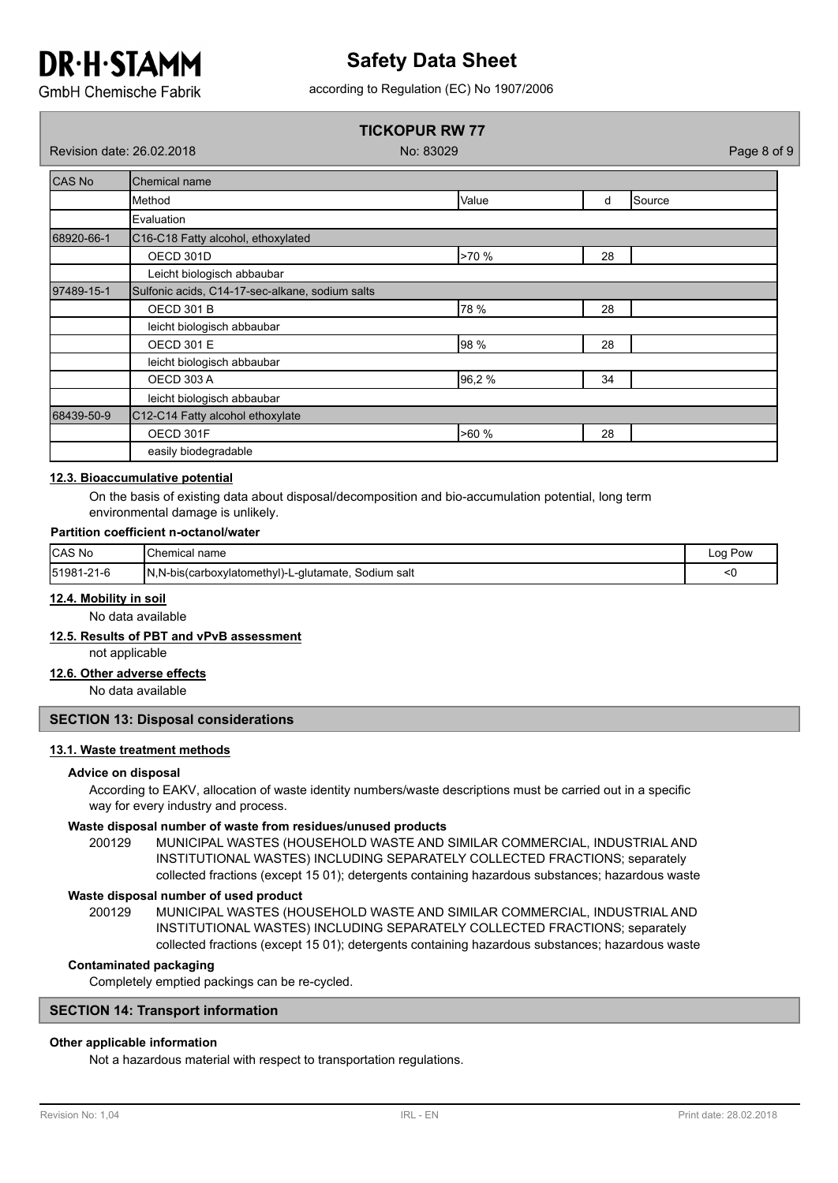# **Safety Data Sheet**

according to Regulation (EC) No 1907/2006

**GmbH Chemische Fabrik** 

# **TICKOPUR RW 77**

Revision date: 26.02.2018 No: 83029 Page 8 of 9

| CAS No     | Chemical name                                   |       |    |                 |  |  |  |  |
|------------|-------------------------------------------------|-------|----|-----------------|--|--|--|--|
|            | Method                                          | Value | d  | <b>I</b> Source |  |  |  |  |
|            | Evaluation                                      |       |    |                 |  |  |  |  |
| 68920-66-1 | C16-C18 Fatty alcohol, ethoxylated              |       |    |                 |  |  |  |  |
|            | OECD 301D                                       | >70 % | 28 |                 |  |  |  |  |
|            | Leicht biologisch abbaubar                      |       |    |                 |  |  |  |  |
| 97489-15-1 | Sulfonic acids, C14-17-sec-alkane, sodium salts |       |    |                 |  |  |  |  |
|            | <b>OECD 301 B</b>                               | 78 %  | 28 |                 |  |  |  |  |
|            | leicht biologisch abbaubar                      |       |    |                 |  |  |  |  |
|            | <b>OECD 301 E</b>                               | 98 %  | 28 |                 |  |  |  |  |
|            | leicht biologisch abbaubar                      |       |    |                 |  |  |  |  |
|            | <b>OECD 303 A</b>                               | 96,2% | 34 |                 |  |  |  |  |
|            | leicht biologisch abbaubar                      |       |    |                 |  |  |  |  |
| 68439-50-9 | C12-C14 Fatty alcohol ethoxylate                |       |    |                 |  |  |  |  |
|            | OECD 301F                                       | >60%  | 28 |                 |  |  |  |  |
|            | easily biodegradable                            |       |    |                 |  |  |  |  |

### **12.3. Bioaccumulative potential**

On the basis of existing data about disposal/decomposition and bio-accumulation potential, long term environmental damage is unlikely.

#### **Partition coefficient n-octanol/water**

| <b>CAS No</b> | <b>I</b> Chemical name                                  | Pow<br>∟oq ' |
|---------------|---------------------------------------------------------|--------------|
| 151981-21-6   | N, N-bis(carboxylatomethyl)-L-glutamate,<br>Sodium salt | י            |

#### **12.4. Mobility in soil**

No data available

## **12.5. Results of PBT and vPvB assessment**

not applicable

## **12.6. Other adverse effects**

No data available

#### **SECTION 13: Disposal considerations**

#### **13.1. Waste treatment methods**

#### **Advice on disposal**

According to EAKV, allocation of waste identity numbers/waste descriptions must be carried out in a specific way for every industry and process.

#### **Waste disposal number of waste from residues/unused products**

200129 MUNICIPAL WASTES (HOUSEHOLD WASTE AND SIMILAR COMMERCIAL, INDUSTRIAL AND INSTITUTIONAL WASTES) INCLUDING SEPARATELY COLLECTED FRACTIONS; separately collected fractions (except 15 01); detergents containing hazardous substances; hazardous waste

#### **Waste disposal number of used product**

MUNICIPAL WASTES (HOUSEHOLD WASTE AND SIMILAR COMMERCIAL, INDUSTRIAL AND INSTITUTIONAL WASTES) INCLUDING SEPARATELY COLLECTED FRACTIONS; separately collected fractions (except 15 01); detergents containing hazardous substances; hazardous waste 200129

#### **Contaminated packaging**

Completely emptied packings can be re-cycled.

#### **SECTION 14: Transport information**

### **Other applicable information**

Not a hazardous material with respect to transportation regulations.